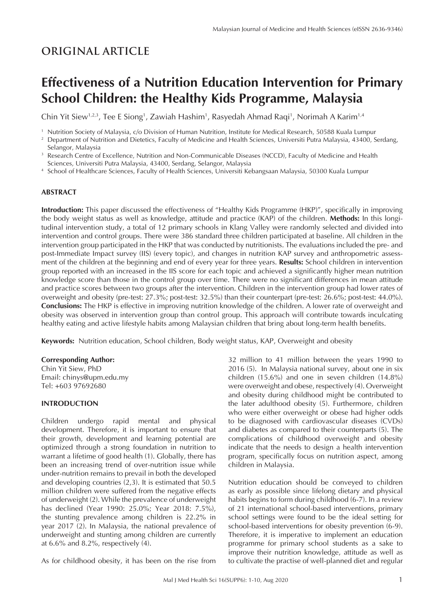## **ORIGINAL ARTICLE**

# **Effectiveness of a Nutrition Education Intervention for Primary School Children: the Healthy Kids Programme, Malaysia**

Chin Yit Siew1,2,3, Tee E Siong1, Zawiah Hashim1, Rasyedah Ahmad Raqi1, Norimah A Karim1,4

<sup>1</sup> Nutrition Society of Malaysia, c/o Division of Human Nutrition, Institute for Medical Research, 50588 Kuala Lumpur

<sup>2</sup> Department of Nutrition and Dietetics, Faculty of Medicine and Health Sciences, Universiti Putra Malaysia, 43400, Serdang, Selangor, Malaysia

- <sup>3</sup> Research Centre of Excellence, Nutrition and Non-Communicable Diseases (NCCD), Faculty of Medicine and Health Sciences, Universiti Putra Malaysia, 43400, Serdang, Selangor, Malaysia
- <sup>4</sup> School of Healthcare Sciences, Faculty of Health Sciences, Universiti Kebangsaan Malaysia, 50300 Kuala Lumpur

## **ABSTRACT**

**Introduction:** This paper discussed the effectiveness of "Healthy Kids Programme (HKP)", specifically in improving the body weight status as well as knowledge, attitude and practice (KAP) of the children. **Methods:** In this longitudinal intervention study, a total of 12 primary schools in Klang Valley were randomly selected and divided into intervention and control groups. There were 386 standard three children participated at baseline. All children in the intervention group participated in the HKP that was conducted by nutritionists. The evaluations included the pre- and post-Immediate Impact survey (IIS) (every topic), and changes in nutrition KAP survey and anthropometric assessment of the children at the beginning and end of every year for three years. **Results:** School children in intervention group reported with an increased in the IIS score for each topic and achieved a significantly higher mean nutrition knowledge score than those in the control group over time. There were no significant differences in mean attitude and practice scores between two groups after the intervention. Children in the intervention group had lower rates of overweight and obesity (pre-test: 27.3%; post-test: 32.5%) than their counterpart (pre-test: 26.6%; post-test: 44.0%). **Conclusions:** The HKP is effective in improving nutrition knowledge of the children. A lower rate of overweight and obesity was observed in intervention group than control group. This approach will contribute towards inculcating healthy eating and active lifestyle habits among Malaysian children that bring about long-term health benefits.

**Keywords:** Nutrition education, School children, Body weight status, KAP, Overweight and obesity

#### **Corresponding Author:**

Chin Yit Siew, PhD Email: chinys@upm.edu.my Tel: +603 97692680

## **INTRODUCTION**

Children undergo rapid mental and physical development. Therefore, it is important to ensure that their growth, development and learning potential are optimized through a strong foundation in nutrition to warrant a lifetime of good health (1). Globally, there has been an increasing trend of over-nutrition issue while under-nutrition remains to prevail in both the developed and developing countries (2,3). It is estimated that 50.5 million children were suffered from the negative effects of underweight (2). While the prevalence of underweight has declined (Year 1990: 25.0%; Year 2018: 7.5%), the stunting prevalence among children is 22.2% in year 2017 (2). In Malaysia, the national prevalence of underweight and stunting among children are currently at 6.6% and 8.2%, respectively (4).

As for childhood obesity, it has been on the rise from

32 million to 41 million between the years 1990 to 2016 (5). In Malaysia national survey, about one in six children (15.6%) and one in seven children (14.8%) were overweight and obese, respectively (4). Overweight and obesity during childhood might be contributed to the later adulthood obesity (5). Furthermore, children who were either overweight or obese had higher odds to be diagnosed with cardiovascular diseases (CVDs) and diabetes as compared to their counterparts (5). The complications of childhood overweight and obesity indicate that the needs to design a health intervention program, specifically focus on nutrition aspect, among children in Malaysia.

Nutrition education should be conveyed to children as early as possible since lifelong dietary and physical habits begins to form during childhood (6-7). In a review of 21 international school-based interventions, primary school settings were found to be the ideal setting for school-based interventions for obesity prevention (6-9). Therefore, it is imperative to implement an education programme for primary school students as a sake to improve their nutrition knowledge, attitude as well as to cultivate the practise of well-planned diet and regular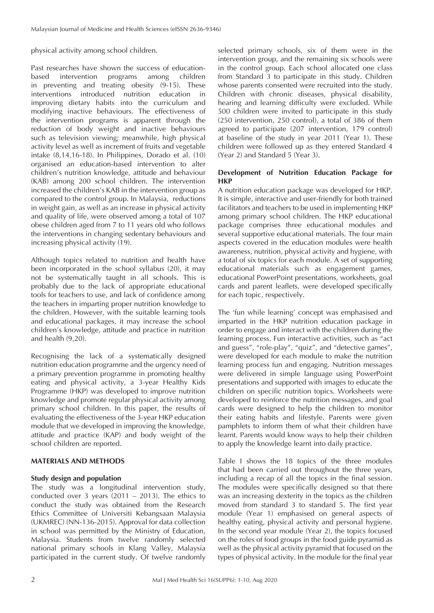physical activity among school children.

Past researches have shown the success of educationbased intervention programs among children in preventing and treating obesity (9-15). These interventions introduced nutrition education in improving dietary habits into the curriculum and modifying inactive behaviours. The effectiveness of the intervention programs is apparent through the reduction of body weight and inactive behaviours such as television viewing; meanwhile, high physical activity level as well as increment of fruits and vegetable intake (8,14,16-18). In Philippines, Dorado et al. (10) organised an education-based intervention to alter children's nutrition knowledge, attitude and behaviour (KAB) among 200 school children. The intervention increased the children's KAB in the intervention group as compared to the control group. In Malaysia, reductions in weight gain, as well as an increase in physical activity and quality of life, were observed among a total of 107 obese children aged from 7 to 11 years old who follows the interventions in changing sedentary behaviours and increasing physical activity (19).

Although topics related to nutrition and health have been incorporated in the school syllabus (20), it may not be systematically taught in all schools. This is probably due to the lack of appropriate educational tools for teachers to use, and lack of confidence among the teachers in imparting proper nutrition knowledge to the children. However, with the suitable learning tools and educational packages, it may increase the school children's knowledge, attitude and practice in nutrition and health (9,20).

Recognising the lack of a systematically designed nutrition education programme and the urgency need of a primary prevention programme in promoting healthy eating and physical activity, a 3-year Healthy Kids Programme (HKP) was developed to improve nutrition knowledge and promote regular physical activity among primary school children. In this paper, the results of evaluating the effectiveness of the 3-year HKP education module that we developed in improving the knowledge, attitude and practice (KAP) and body weight of the school children are reported.

## **MATERIALS AND METHODS**

## **Study design and population**

The study was a longitudinal intervention study, conducted over 3 years (2011 – 2013). The ethics to conduct the study was obtained from the Research Ethics Committee of Universiti Kebangsaan Malaysia (UKMREC) (NN-136-2015). Approval for data collection in school was permitted by the Ministry of Education, Malaysia. Students from twelve randomly selected national primary schools in Klang Valley, Malaysia participated in the current study. Of twelve randomly

selected primary schools, six of them were in the intervention group, and the remaining six schools were in the control group. Each school allocated one class from Standard 3 to participate in this study. Children whose parents consented were recruited into the study. Children with chronic diseases, physical disability, hearing and learning difficulty were excluded. While 500 children were invited to participate in this study (250 intervention, 250 control), a total of 386 of them agreed to participate (207 intervention, 179 control) at baseline of the study in year 2011 (Year 1). These children were followed up as they entered Standard 4 (Year 2) and Standard 5 (Year 3).

## **Development of Nutrition Education Package for HKP**

A nutrition education package was developed for HKP. It is simple, interactive and user-friendly for both trained facilitators and teachers to be used in implementing HKP among primary school children. The HKP educational package comprises three educational modules and several supportive educational materials. The four main aspects covered in the education modules were health awareness, nutrition, physical activity and hygiene, with a total of six topics for each module. A set of supporting educational materials such as engagement games, educational PowerPoint presentations, worksheets, goal cards and parent leaflets, were developed specifically for each topic, respectively.

The 'fun while learning' concept was emphasised and imparted in the HKP nutrition education package in order to engage and interact with the children during the learning process. Fun interactive activities, such as "act and guess", "role-play", "quiz", and "detective games", were developed for each module to make the nutrition learning process fun and engaging. Nutrition messages were delivered in simple language using PowerPoint presentations and supported with images to educate the children on specific nutrition topics. Worksheets were developed to reinforce the nutrition messages, and goal cards were designed to help the children to monitor their eating habits and lifestyle. Parents were given pamphlets to inform them of what their children have learnt. Parents would know ways to help their children to apply the knowledge learnt into daily practice.

Table I shows the 18 topics of the three modules that had been carried out throughout the three years, including a recap of all the topics in the final session. The modules were specifically designed so that there was an increasing dexterity in the topics as the children moved from standard 3 to standard 5. The first year module (Year 1) emphasised on general aspects of healthy eating, physical activity and personal hygiene. In the second year module (Year 2), the topics focused on the roles of food groups in the food guide pyramid as well as the physical activity pyramid that focused on the types of physical activity. In the module for the final year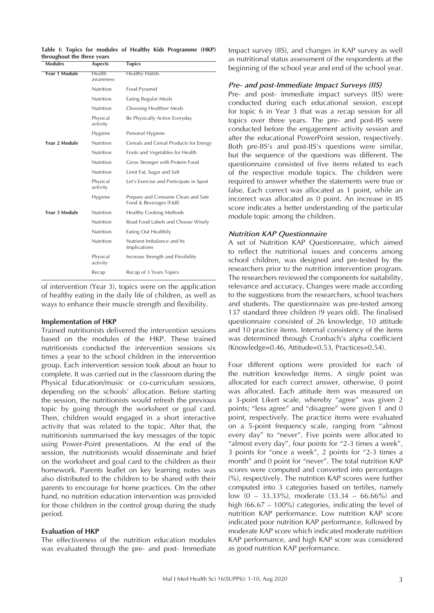| Modules              | <b>Aspects</b>       | <b>Topics</b>                                                |
|----------------------|----------------------|--------------------------------------------------------------|
| <b>Year 1 Module</b> | Health<br>awareness  | <b>Healthy Habits</b>                                        |
|                      | Nutrition            | Food Pyramid                                                 |
|                      | Nutrition            | Eating Regular Meals                                         |
|                      | Nutrition            | Choosing Healthier Meals                                     |
|                      | Physical<br>activity | Be Physically Active Everyday                                |
|                      | Hygiene              | Personal Hygiene                                             |
| Year 2 Module        | Nutrition            | Cereals and Cereal Products for Energy                       |
|                      | Nutrition            | Fruits and Vegetables for Health                             |
|                      | Nutrition            | Grow Stronger with Protein Food                              |
|                      | Nutrition            | Limit Fat, Sugar and Salt                                    |
|                      | Physical<br>activity | Let's Exercise and Participate in Sport                      |
|                      | Hygiene              | Prepare and Consume Clean and Safe<br>Food & Beverages (F&B) |
| <b>Year 3 Module</b> | Nutrition            | Healthy Cooking Methods                                      |
|                      | Nutrition            | Read Food Labels and Choose Wisely                           |
|                      | Nutrition            | Eating Out Healthily                                         |
|                      | Nutrition            | Nutrient Imbalance and Its<br>Implications                   |
|                      | Physical<br>activity | Increase Strength and Flexibility                            |
|                      | Recap                | Recap of 3 Years Topics                                      |

**Table I: Topics for modules of Healthy Kids Programme (HKP) throughout the three years**

of intervention (Year 3), topics were on the application of healthy eating in the daily life of children, as well as ways to enhance their muscle strength and flexibility.

#### **Implementation of HKP**

Trained nutritionists delivered the intervention sessions based on the modules of the HKP. These trained nutritionists conducted the intervention sessions six times a year to the school children in the intervention group. Each intervention session took about an hour to complete. It was carried out in the classroom during the Physical Education/music or co-curriculum sessions, depending on the schools' allocation. Before starting the session, the nutritionists would refresh the previous topic by going through the worksheet or goal card. Then, children would engaged in a short interactive activity that was related to the topic. After that, the nutritionists summarised the key messages of the topic using Power-Point presentations. At the end of the session, the nutritionists would disseminate and brief on the worksheet and goal card to the children as their homework. Parents leaflet on key learning notes was also distributed to the children to be shared with their parents to encourage for home practices. On the other hand, no nutrition education intervention was provided for those children in the control group during the study period.

#### **Evaluation of HKP**

The effectiveness of the nutrition education modules was evaluated through the pre- and post- Immediate

Impact survey (IIS), and changes in KAP survey as well as nutritional status assessment of the respondents at the beginning of the school year and end of the school year.

#### *Pre- and post-Immediate Impact Surveys (IIS)*

Pre- and post- immediate impact surveys (IIS) were conducted during each educational session, except for topic 6 in Year 3 that was a recap session for all topics over three years. The pre- and post-IIS were conducted before the engagement activity session and after the educational PowerPoint session, respectively. Both pre-IIS's and post-IIS's questions were similar, but the sequence of the questions was different. The questionnaire consisted of five items related to each of the respective module topics. The children were required to answer whether the statements were true or false. Each correct was allocated as 1 point, while an incorrect was allocated as 0 point. An increase in IIS score indicates a better understanding of the particular module topic among the children.

#### *Nutrition KAP Questionnaire*

A set of Nutrition KAP Questionnaire, which aimed to reflect the nutritional issues and concerns among school children, was designed and pre-tested by the researchers prior to the nutrition intervention program. The researchers reviewed the components for suitability, relevance and accuracy. Changes were made according to the suggestions from the researchers, school teachers and students. The questionnaire was pre-tested among 137 standard three children (9 years old). The finalised questionnaire consisted of 26 knowledge, 10 attitude and 10 practice items. Internal consistency of the items was determined through Cronbach's alpha coefficient (Knowledge=0.46, Attitude=0.53, Practices=0.54).

Four different options were provided for each of the nutrition knowledge items. A single point was allocated for each correct answer, otherwise, 0 point was allocated. Each attitude item was measured on a 3-point Likert scale, whereby "agree" was given 2 points; "less agree" and "disagree" were given 1 and 0 point, respectively. The practice items were evaluated on a 5-point frequency scale, ranging from "almost every day" to "never". Five points were allocated to "almost every day", four points for "2-3 times a week", 3 points for "once a week", 2 points for "2-3 times a month" and 0 point for "never". The total nutrition KAP scores were computed and converted into percentages (%), respectively. The nutrition KAP scores were further computed into 3 categories based on tertiles, namely low (0 – 33.33%), moderate (33.34 – 66.66%) and high (66.67 – 100%) categories, indicating the level of nutrition KAP performance. Low nutrition KAP score indicated poor nutrition KAP performance, followed by moderate KAP score which indicated moderate nutrition KAP performance, and high KAP score was considered as good nutrition KAP performance.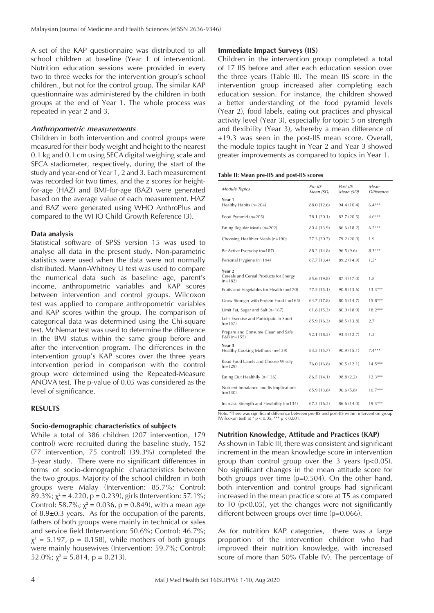A set of the KAP questionnaire was distributed to all school children at baseline (Year 1 of intervention). Nutrition education sessions were provided in every two to three weeks for the intervention group's school children., but not for the control group. The similar KAP questionnaire was administered by the children in both groups at the end of Year 1. The whole process was repeated in year 2 and 3.

#### *Anthropometric measurements*

Children in both intervention and control groups were measured for their body weight and height to the nearest 0.1 kg and 0.1 cm using SECA digital weighing scale and SECA stadiometer, respectively, during the start of the study and year-end of Year 1, 2 and 3. Each measurement was recorded for two times, and the z scores for heightfor-age (HAZ) and BMI-for-age (BAZ) were generated based on the average value of each measurement. HAZ and BAZ were generated using WHO AnthroPlus and compared to the WHO Child Growth Reference (3).

#### **Data analysis**

Statistical software of SPSS version 15 was used to analyse all data in the present study. Non-parametric statistics were used when the data were not normally distributed. Mann-Whitney U test was used to compare the numerical data such as baseline age, parent's income, anthropometric variables and KAP scores between intervention and control groups. Wilcoxon test was applied to compare anthropometric variables and KAP scores within the group. The comparison of categorical data was determined using the Chi-square test. McNemar test was used to determine the difference in the BMI status within the same group before and after the intervention program. The differences in the intervention group's KAP scores over the three years intervention period in comparison with the control group were determined using the Repeated-Measure ANOVA test. The p-value of 0.05 was considered as the level of significance.

#### **RESULTS**

#### **Socio-demographic characteristics of subjects**

While a total of 386 children (207 intervention, 179 control) were recruited during the baseline study, 152 (77 intervention, 75 control) (39.3%) completed the 3-year study. There were no significant differences in terms of socio-demographic characteristics between the two groups. Majority of the school children in both groups were Malay (Intervention: 85.7%; Control: 89.3%;  $\chi^2$  = 4.220, p = 0.239), girls (Intervention: 57.1%; Control: 58.7%;  $\chi^2$  = 0.036, p = 0.849), with a mean age of 8.9±0.3 years. As for the occupation of the parents, fathers of both groups were mainly in technical or sales and service field (Intervention: 50.6%; Control: 46.7%;  $\chi^2$  = 5.197, p = 0.158), while mothers of both groups were mainly housewives (Intervention: 59.7%; Control: 52.0%;  $\chi^2$  = 5.814, p = 0.213).

#### **Immediate Impact Surveys (IIS)**

Children in the intervention group completed a total of 17 IIS before and after each education session over the three years (Table II). The mean IIS score in the intervention group increased after completing each education session. For instance, the children showed a better understanding of the food pyramid levels (Year 2), food labels, eating out practices and physical activity level (Year 3), especially for topic 5 on strength and flexibility (Year 3), whereby a mean difference of +19.3 was seen in the post-IIS mean score. Overall, the module topics taught in Year 2 and Year 3 showed greater improvements as compared to topics in Year 1.

#### **Table II: Mean pre-IIS and post-IIS scores**

| Module Topics                                                 | Pre-IIS<br>Mean (SD) | Post-IIS<br>Mean (SD) | Mean<br><b>Difference</b> |
|---------------------------------------------------------------|----------------------|-----------------------|---------------------------|
| Year 1<br>Healthy Habits (n=204)                              | 88.0 (12.6)          | 94.4 (10.4)           | $6.4***$                  |
| Food Pyramid (n=205)                                          | 78.1 (20.1)          | 82.7 (20.5)           | $4.6***$                  |
| Eating Regular Meals (n=202)                                  | 80.4 (13.9)          | 86.6 (18.2)           | $6.2***$                  |
| Choosing Healthier Meals (n=190)                              | 77.3 (20.7)          | 79.2 (20.0)           | 1.9                       |
| Be Active Everyday (n=187)                                    | 88.2 (14.8)          | 96.5(9.6)             | $8.3***$                  |
| Personal Hygiene (n=194)                                      | 87.7 (13.4)          | 89.2 (14.9)           | $1.5*$                    |
| Year 2<br>Cereals and Cereal Products for Energy<br>$(n=182)$ | 85.6 (19.8)          | 87.4 (17.0)           | 1.8                       |
| Fruits and Vegetables for Health (n=170)                      | 77.5 (15.1)          | 90.8 (13.6)           | $13.3***$                 |
| Grow Stronger with Protein Food (n=165)                       | 64.7 (17.8)          | 80.5 (14.7)           | $15.8***$                 |
| Limit Fat, Sugar and Salt (n=167)                             | 61.8(15.3)           | 80.0 (18.9)           | $18.2***$                 |
| Let's Exercise and Participate in Sport<br>$(n=157)$          | 85.9 (16.3)          | 88.5 (13.8)           | 2.7                       |
| Prepare and Consume Clean and Safe<br>$F&B(n=155)$            | 92.1 (18.2)          | 93.3 (12.7)           | 1.2                       |
| Year 3<br>Healthy Cooking Methods (n=139)                     | 83.5 (15.7)          | 90.9 (15.1)           | $7.4***$                  |
| Read Food Labels and Choose Wisely<br>$(n=129)$               | 76.0 (16.8)          | 90.5(12.1)            | $14.5***$                 |
| Eating Out Healthily (n=136)                                  | 86.5 (14.1)          | 98.8 (2.2)            | $12.3***$                 |
| Nutrient Imbalance and Its Implications<br>$(n=130)$          | 85.9 (13.8)          | 96.6(5.8)             | $10.7***$                 |
| Increase Strength and Flexibility (n=134)                     | 67.3(16.2)           | 86.6 (14.0)           | $19.3***$                 |

Note: "There was significant difference between pre-IIS and post-IIS within intervention group (Wilcoxon test) at \* p < 0.05; \*\*\* p < 0.001.

## **Nutrition Knowledge, Attitude and Practices (KAP)**

As shown in Table III, there was consistent and significant increment in the mean knowledge score in intervention group than control group over the 3 years (p<0.05). No significant changes in the mean attitude score for both groups over time (p=0.504). On the other hand, both intervention and control groups had significant increased in the mean practice score at T5 as compared to T0 (p<0.05), yet the changes were not significantly different between groups over time (p=0.066).

As for nutrition KAP categories, there was a large proportion of the intervention children who had improved their nutrition knowledge, with increased score of more than 50% (Table IV). The percentage of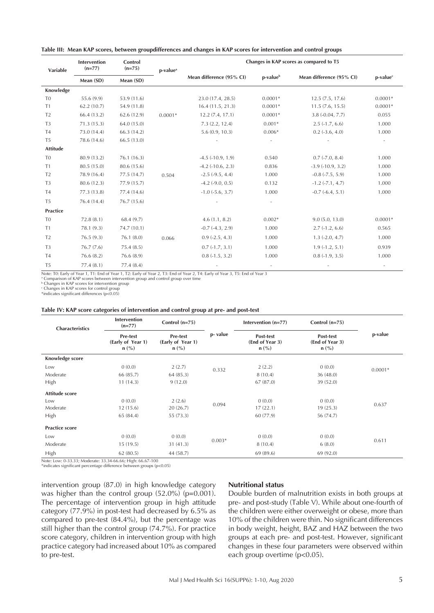|  |  |  |  | Table III: Mean KAP scores, between groupdifferences and changes in KAP scores for intervention and control groups |  |  |  |  |  |  |  |  |
|--|--|--|--|--------------------------------------------------------------------------------------------------------------------|--|--|--|--|--|--|--|--|
|--|--|--|--|--------------------------------------------------------------------------------------------------------------------|--|--|--|--|--|--|--|--|

|                 | Intervention | Control<br>$(n=75)$ |                      | Changes in KAP scores as compared to T5 |                          |                           |                      |  |
|-----------------|--------------|---------------------|----------------------|-----------------------------------------|--------------------------|---------------------------|----------------------|--|
| Variable        | $(n=77)$     |                     | p-value <sup>a</sup> | Mean difference (95% CI)                |                          |                           | p-value <sup>c</sup> |  |
|                 | Mean (SD)    | Mean (SD)           |                      |                                         | p-value <sup>b</sup>     | Mean difference (95% CI)  |                      |  |
| Knowledge       |              |                     |                      |                                         |                          |                           |                      |  |
| T <sub>0</sub>  | 55.6 (9.9)   | 53.9 (11.6)         |                      | 23.0 (17.4, 28.5)                       | $0.0001*$                | 12.5(7.5, 17.6)           | $0.0001*$            |  |
| T1              | 62.2(10.7)   | 54.9 (11.8)         |                      | 16.4(11.5, 21.3)                        | $0.0001*$                | 11.5(7.6, 15.5)           | $0.0001*$            |  |
| T <sub>2</sub>  | 66.4 (13.2)  | 62.6 (12.9)         | $0.0001*$            | 12.2(7.4, 17.1)                         | $0.0001*$                | $3.8(-0.04, 7.7)$         | 0.055                |  |
| T <sub>3</sub>  | 71.3(15.3)   | 64.0 (15.0)         |                      | 7.3(2.2, 12.4)                          | $0.001*$                 | $2.5(-1.7, 6.6)$          | 1.000                |  |
| T <sub>4</sub>  | 73.0 (14.4)  | 66.3(14.2)          |                      | 5.6(0.9, 10.3)                          | $0.006*$                 | $0.2$ ( $-3.6$ , $4.0$ )  | 1.000                |  |
| T <sub>5</sub>  | 78.6 (14.6)  | 66.5 (13.0)         |                      |                                         |                          |                           |                      |  |
| <b>Attitude</b> |              |                     |                      |                                         |                          |                           |                      |  |
| T <sub>0</sub>  | 80.9 (13.2)  | 76.1(16.3)          |                      | $-4.5$ $(-10.9, 1.9)$                   | 0.540                    | $0.7$ ( $-7.0$ , $8.4$ )  | 1.000                |  |
| T1              | 80.5 (15.0)  | 80.6 (15.6)         |                      | $-4.2$ $(-10.6, 2.3)$                   | 0.836                    | $-3.9$ $(-10.9, 3.2)$     | 1.000                |  |
| T <sub>2</sub>  | 78.9 (16.4)  | 77.5 (14.7)         | 0.504                | $-2.5$ $(-9.5, 4.4)$                    | 1.000                    | $-0.8$ $(-7.5, 5.9)$      | 1.000                |  |
| T <sub>3</sub>  | 80.6 (12.3)  | 77.9 (15.7)         |                      | $-4.2$ ( $-9.0, 0.5$ )                  | 0.132                    | $-1.2$ ( $-7.1$ , $4.7$ ) | 1.000                |  |
| T <sub>4</sub>  | 77.3 (13.8)  | 77.4 (14.6)         |                      | $-1.0$ $(-5.6, 3.7)$                    | 1.000                    | $-0.7$ $(-6.4, 5.1)$      | 1.000                |  |
| T <sub>5</sub>  | 76.4 (14.4)  | 76.7 (15.6)         |                      |                                         |                          |                           |                      |  |
| Practice        |              |                     |                      |                                         |                          |                           |                      |  |
| T <sub>0</sub>  | 72.8(8.1)    | 68.4 (9.7)          |                      | 4.6(1.1, 8.2)                           | $0.002*$                 | 9.0(5.0, 13.0)            | $0.0001*$            |  |
| T <sub>1</sub>  | 78.1(9.3)    | 74.7 (10.1)         |                      | $-0.7$ $(-4.3, 2.9)$                    | 1.000                    | $2.7(-1.2, 6.6)$          | 0.565                |  |
| T <sub>2</sub>  | 76.5(9.3)    | 76.1(8.0)           | 0.066                | $0.9$ ( $-2.5$ , $4.3$ )                | 1.000                    | $1.3$ (-2.0, 4.7)         | 1.000                |  |
| T <sub>3</sub>  | 76.7(7.6)    | 75.4(8.5)           |                      | $0.7(-1.7, 3.1)$                        | 1.000                    | $1.9(-1.2, 5.1)$          | 0.939                |  |
| T <sub>4</sub>  | 76.6(8.2)    | 76.6 (8.9)          |                      | $0.8(-1.5, 3.2)$                        | 1.000                    | $0.8(-1.9, 3.5)$          | 1.000                |  |
| T <sub>5</sub>  | 77.4(8.1)    | 77.4(8.4)           |                      |                                         | $\overline{\phantom{a}}$ |                           |                      |  |

Note: T0: Early of Year 1, T1: End of Year 1, T2: Early of Year 2, T3: End of Year 2, T4: Early of Year 3, T5: End of Year 3 a Comparison of KAP scores between intervention group and control group over time

**b** Changes in KAP scores for intervention group c Changes in KAP scores for control group

\*indicates significant differences (p<0.05)

| Table IV: KAP score categories of intervention and control group at pre- and post-test |  |  |  |
|----------------------------------------------------------------------------------------|--|--|--|
|                                                                                        |  |  |  |

| <b>Characteristics</b> | <b>Intervention</b><br>$(n=77)$          | Control $(n=75)$                                |          | Intervention (n=77)                     | Control $(n=75)$                        | p-value   |  |
|------------------------|------------------------------------------|-------------------------------------------------|----------|-----------------------------------------|-----------------------------------------|-----------|--|
|                        | Pre-test<br>(Early of Year 1)<br>$n$ (%) | <b>Pre-test</b><br>(Early of Year 1)<br>$n$ (%) | p- value | Post-test<br>(End of Year 3)<br>$n$ (%) | Post-test<br>(End of Year 3)<br>$n$ (%) |           |  |
| Knowledge score        |                                          |                                                 |          |                                         |                                         |           |  |
| Low                    | 0(0.0)                                   | 2(2.7)                                          | 0.332    | 2(2.2)                                  | 0(0.0)                                  | $0.0001*$ |  |
| Moderate               | 66 (85.7)                                | 64(85.3)                                        |          | 8(10.4)                                 | 36(48.0)                                |           |  |
| High                   | 11(14.3)                                 | 9(12.0)                                         |          | 67(87.0)                                | 39 (52.0)                               |           |  |
| Attitude score         |                                          |                                                 |          |                                         |                                         |           |  |
| Low                    | 0(0.0)                                   | 2(2.6)                                          | 0.094    | 0(0.0)                                  | 0(0.0)                                  | 0.637     |  |
| Moderate               | 12(15.6)                                 | 20(26.7)                                        |          | 17(22.1)                                | 19(25.3)                                |           |  |
| High                   | 65 (84.4)                                | 55 (73.3)                                       |          | 60 (77.9)                               | 56 (74.7)                               |           |  |
| <b>Practice score</b>  |                                          |                                                 |          |                                         |                                         |           |  |
| Low                    | 0(0.0)                                   | 0(0.0)                                          |          | 0(0.0)                                  | 0(0.0)                                  |           |  |
| Moderate               | 15(19.5)                                 | 31(41.3)                                        | $0.003*$ | 8(10.4)                                 | 6(8.0)                                  | 0.611     |  |
| <b>High</b>            | 62(80.5)                                 | 44 (58.7)                                       |          | 69 (89.6)                               | 69 (92.0)                               |           |  |

Note: Low: 0-33.33; Moderate: 33.34-66.66; High: 66.67-100 \*indicates significant percentage difference between groups (p<0.05)

intervention group (87.0) in high knowledge category was higher than the control group (52.0%) (p=0.001). The percentage of intervention group in high attitude category (77.9%) in post-test had decreased by 6.5% as compared to pre-test (84.4%), but the percentage was still higher than the control group (74.7%). For practice score category, children in intervention group with high practice category had increased about 10% as compared to pre-test.

### **Nutritional status**

Double burden of malnutrition exists in both groups at pre- and post-study (Table V). While about one-fourth of the children were either overweight or obese, more than 10% of the children were thin. No significant differences in body weight, height, BAZ and HAZ between the two groups at each pre- and post-test. However, significant changes in these four parameters were observed within each group overtime (p<0.05).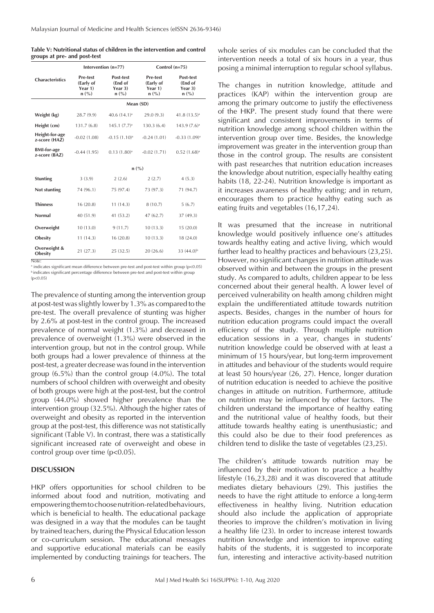**Table V: Nutritional status of children in the intervention and control groups at pre- and post-test**

|                                         |                                                    | Intervention (n=77)                                              | Control $(n=75)$                                                |                                                                  |  |
|-----------------------------------------|----------------------------------------------------|------------------------------------------------------------------|-----------------------------------------------------------------|------------------------------------------------------------------|--|
| <b>Characteristics</b>                  | <b>Pre-test</b><br>(Early of<br>Year 1)<br>$n$ (%) | Post-test<br>(End of<br>Year $3)$<br>$n\left(\frac{9}{6}\right)$ | Pre-test<br>(Early of<br>Year 1)<br>$n\left(\frac{0}{0}\right)$ | Post-test<br>(End of<br>Year $3)$<br>$n\left(\frac{9}{6}\right)$ |  |
|                                         |                                                    |                                                                  | Mean (SD)                                                       |                                                                  |  |
| Weight (kg)                             | 28.7(9.9)                                          | 40.6 $(14.1)^a$                                                  | 29.0(9.3)                                                       | 41.8 (13.5) <sup>a</sup>                                         |  |
| Height (cm)                             | 131.7(6.8)                                         | 145.1 (7.7) <sup>a</sup>                                         | 130.3(6.4)                                                      | $143.9(7.6)^a$                                                   |  |
| Height-for-age<br>z-score (HAZ)         | $-0.02(1.08)$                                      | $-0.15(1.10)^a$                                                  | $-0.24(1.01)$                                                   | $-0.33$ $(1.09)^a$                                               |  |
| <b>BMI-for-age</b><br>z-score (BAZ)     | $-0.44(1.95)$                                      | $0.13(1.80)$ <sup>a</sup>                                        | $-0.02(1.71)$                                                   | $0.52(1.68)$ <sup>a</sup>                                        |  |
|                                         |                                                    | n(%)                                                             |                                                                 |                                                                  |  |
| <b>Stunting</b>                         | 3(3.9)                                             | 2(2.6)                                                           | 2(2.7)                                                          | 4(5.3)                                                           |  |
| Not stunting                            | 74 (96.1)                                          | 75 (97.4)                                                        | 73 (97.3)                                                       | 71 (94.7)                                                        |  |
| <b>Thinness</b>                         | 16(20.8)                                           | 11(14.3)                                                         | 8(10.7)                                                         | 5(6.7)                                                           |  |
| Normal                                  | 40 (51.9)                                          | 41(53.2)                                                         | 47(62.7)                                                        | 37 (49.3)                                                        |  |
| Overweight                              | 10(13.0)                                           | 9(11.7)                                                          | 10(13.3)                                                        | 15(20.0)                                                         |  |
| <b>Obesity</b>                          | 11(14.3)                                           | 16(20.8)                                                         | 10(13.3)                                                        | 18 (24.0)                                                        |  |
| Overweight &<br><b>Obesity</b><br>Note: | 21 (27.3)                                          | 25(32.5)                                                         | 20(26.6)                                                        | 33 (44.0) <sup>b</sup>                                           |  |

a indicates significant mean difference between pre-test and post-test within group (p<0.05) **b** indicates significant percentage difference between pre-test and post-test within group  $(n<0.05)$ 

The prevalence of stunting among the intervention group at post-test was slightly lower by 1.3% as compared to the pre-test. The overall prevalence of stunting was higher by 2.6% at post-test in the control group. The increased prevalence of normal weight (1.3%) and decreased in prevalence of overweight (1.3%) were observed in the intervention group, but not in the control group. While both groups had a lower prevalence of thinness at the post-test, a greater decrease was found in the intervention group (6.5%) than the control group (4.0%). The total numbers of school children with overweight and obesity of both groups were high at the post-test, but the control group (44.0%) showed higher prevalence than the intervention group (32.5%). Although the higher rates of overweight and obesity as reported in the intervention group at the post-test, this difference was not statistically significant (Table V). In contrast, there was a statistically significant increased rate of overweight and obese in control group over time (p<0.05).

## **DISCUSSION**

HKP offers opportunities for school children to be informed about food and nutrition, motivating and empowering them to choose nutrition-related behaviours, which is beneficial to health. The educational package was designed in a way that the modules can be taught by trained teachers, during the Physical Education lesson or co-curriculum session. The educational messages and supportive educational materials can be easily implemented by conducting trainings for teachers. The

whole series of six modules can be concluded that the intervention needs a total of six hours in a year, thus posing a minimal interruption to regular school syllabus.

The changes in nutrition knowledge, attitude and practices (KAP) within the intervention group are among the primary outcome to justify the effectiveness of the HKP. The present study found that there were significant and consistent improvements in terms of nutrition knowledge among school children within the intervention group over time. Besides, the knowledge improvement was greater in the intervention group than those in the control group. The results are consistent with past researches that nutrition education increases the knowledge about nutrition, especially healthy eating habits (18, 22-24). Nutrition knowledge is important as it increases awareness of healthy eating; and in return, encourages them to practice healthy eating such as eating fruits and vegetables (16,17,24).

It was presumed that the increase in nutritional knowledge would positively influence one's attitudes towards healthy eating and active living, which would further lead to healthy practices and behaviours (23,25). However, no significant changes in nutrition attitude was observed within and between the groups in the present study. As compared to adults, children appear to be less concerned about their general health. A lower level of perceived vulnerability on health among children might explain the undifferentiated attitude towards nutrition aspects. Besides, changes in the number of hours for nutrition education programs could impact the overall efficiency of the study. Through multiple nutrition education sessions in a year, changes in students' nutrition knowledge could be observed with at least a minimum of 15 hours/year, but long-term improvement in attitudes and behaviour of the students would require at least 50 hours/year (26, 27). Hence, longer duration of nutrition education is needed to achieve the positive changes in attitude on nutrition. Furthermore, attitude on nutrition may be influenced by other factors. The children understand the importance of healthy eating and the nutritional value of healthy foods, but their attitude towards healthy eating is unenthusiastic; and this could also be due to their food preferences as children tend to dislike the taste of vegetables (23,25).

The children's attitude towards nutrition may be influenced by their motivation to practice a healthy lifestyle (16,23,28) and it was discovered that attitude mediates dietary behaviours (29). This justifies the needs to have the right attitude to enforce a long-term effectiveness in healthy living. Nutrition education should also include the application of appropriate theories to improve the children's motivation in living a healthy life (23). In order to increase interest towards nutrition knowledge and intention to improve eating habits of the students, it is suggested to incorporate fun, interesting and interactive activity-based nutrition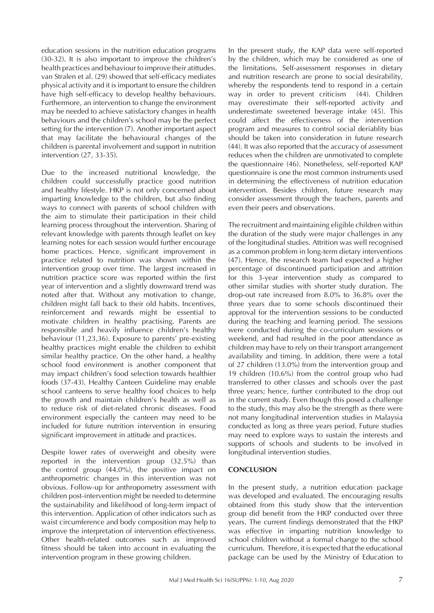education sessions in the nutrition education programs (30-32). It is also important to improve the children's health practices and behaviour to improve their atittudes. van Stralen et al. (29) showed that self-efficacy mediates physical activity and it is important to ensure the children have high self-efficacy to develop healthy behaviours. Furthermore, an intervention to change the environment may be needed to achieve satisfactory changes in health behaviours and the children's school may be the perfect setting for the intervention (7). Another important aspect that may facilitate the behavioural changes of the children is parental involvement and support in nutrition intervention (27, 33-35).

Due to the increased nutritional knowledge, the children could successfully practice good nutrition and healthy lifestyle. HKP is not only concerned about imparting knowledge to the children, but also finding ways to connect with parents of school children with the aim to stimulate their participation in their child learning process throughout the intervention. Sharing of relevant knowledge with parents through leaflet on key learning notes for each session would further encourage home practices. Hence, significant improvement in practice related to nutrition was shown within the intervention group over time. The largest increased in nutrition practice score was reported within the first year of intervention and a slightly downward trend was noted after that. Without any motivation to change, children might fall back to their old habits. Incentives, reinforcement and rewards might be essential to motivate children in healthy practising. Parents are responsible and heavily influence children's healthy behaviour (11,23,36). Exposure to parents' pre-existing healthy practices might enable the children to exhibit similar healthy practice. On the other hand, a healthy school food environment is another component that may impact children's food selection towards healthier foods (37-43). Healthy Canteen Guideline may enable school canteens to serve healthy food choices to help the growth and maintain children's health as well as to reduce risk of diet-related chronic diseases. Food environment especially the canteen may need to be included for future nutrition intervention in ensuring significant improvement in attitude and practices.

Despite lower rates of overweight and obesity were reported in the intervention group (32.5%) than the control group (44.0%), the positive impact on anthropometric changes in this intervention was not obvious. Follow-up for anthropometry assessment with children post-intervention might be needed to determine the sustainability and likelihood of long-term impact of this intervention. Application of other indicators such as waist circumference and body composition may help to improve the interpretation of intervention effectiveness. Other health-related outcomes such as improved fitness should be taken into account in evaluating the intervention program in these growing children.

In the present study, the KAP data were self-reported by the children, which may be considered as one of the limitations. Self-assessment responses in dietary and nutrition research are prone to social desirability, whereby the respondents tend to respond in a certain way in order to prevent criticism (44). Children may overestimate their self-reported activity and underestimate sweetened beverage intake (45). This could affect the effectiveness of the intervention program and measures to control social deriablity bias should be taken into consideration in future research (44). It was also reported that the accuracy of assessment reduces when the children are unmotivated to complete the questionnaire (46). Nonetheless, self-reported KAP questionnaire is one the most common instruments used in determining the effectiveness of nutrition education intervention. Besides children, future research may consider assessment through the teachers, parents and even their peers and observations.

The recruitment and maintaining eligible children within the duration of the study were major challenges in any of the longitudinal studies. Attrition was well recognised as a common problem in long-term dietary interventions (47). Hence, the research team had expected a higher percentage of discontinued participation and attrition for this 3-year intervention study as compared to other similar studies with shorter study duration. The drop-out rate increased from 8.0% to 36.8% over the three years due to some schools discontinued their approval for the intervention sessions to be conducted during the teaching and learning period. The sessions were conducted during the co-curriculum sessions or weekend, and had resulted in the poor attendance as children may have to rely on their transport arrangement availability and timing. In addition, there were a total of 27 children (13.0%) from the intervention group and 19 children (10.6%) from the control group who had transferred to other classes and schools over the past three years; hence, further contributed to the drop out in the current study. Even though this posed a challenge to the study, this may also be the strength as there were not many longitudinal intervention studies in Malaysia conducted as long as three years period. Future studies may need to explore ways to sustain the interests and supports of schools and students to be involved in longitudinal intervention studies.

## **CONCLUSION**

In the present study, a nutrition education package was developed and evaluated. The encouraging results obtained from this study show that the intervention group did benefit from the HKP conducted over three years. The current findings demonstrated that the HKP was effective in imparting nutrition knowledge to school children without a formal change to the school curriculum. Therefore, it is expected that the educational package can be used by the Ministry of Education to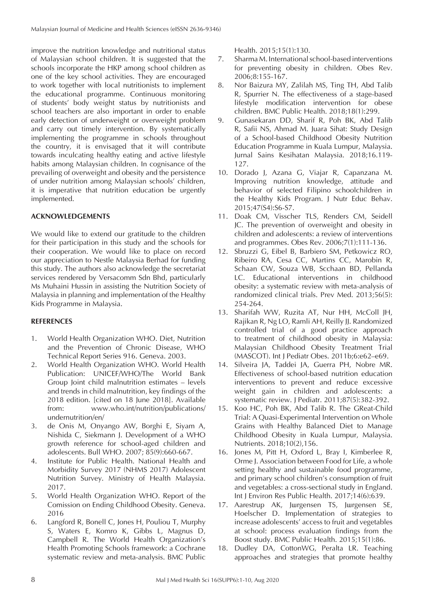improve the nutrition knowledge and nutritional status of Malaysian school children. It is suggested that the schools incorporate the HKP among school children as one of the key school activities. They are encouraged to work together with local nutritionists to implement the educational programme. Continuous monitoring of students' body weight status by nutritionists and school teachers are also important in order to enable early detection of underweight or overweight problem and carry out timely intervention. By systematically implementing the programme in schools throughout the country, it is envisaged that it will contribute towards inculcating healthy eating and active lifestyle habits among Malaysian children. In cognisance of the prevailing of overweight and obesity and the persistence of under nutrition among Malaysian schools' children, it is imperative that nutrition education be urgently implemented.

## **ACKNOWLEDGEMENTS**

We would like to extend our gratitude to the children for their participation in this study and the schools for their cooperation. We would like to place on record our appreciation to Nestle Malaysia Berhad for funding this study. The authors also acknowledge the secretariat services rendered by Versacomm Sdn Bhd, particularly Ms Muhaini Hussin in assisting the Nutrition Society of Malaysia in planning and implementation of the Healthy Kids Programme in Malaysia.

## **REFERENCES**

- 1. World Health Organization WHO. Diet, Nutrition and the Prevention of Chronic Disease, WHO Technical Report Series 916. Geneva. 2003.
- 2. World Health Organization WHO. World Health Publication: UNICEF/WHO/The World Bank Group Joint child malnutrition estimates – levels and trends in child malnutrition, key findings of the 2018 edition. [cited on 18 June 2018]. Available from: www.who.int/nutrition/publications/ undernutrition/en/
- 3. de Onis M, Onyango AW, Borghi E, Siyam A, Nishida C, Siekmann J. Development of a WHO growth reference for school-aged children and adolescents. Bull WHO. 2007; 85(9):660-667.
- 4. Institute for Public Health. National Health and Morbidity Survey 2017 (NHMS 2017) Adolescent Nutrition Survey. Ministry of Health Malaysia. 2017.
- 5. World Health Organization WHO. Report of the Comission on Ending Childhood Obesity. Geneva. 2016
- 6. Langford R, Bonell C, Jones H, Pouliou T, Murphy S, Waters E, Komro K, Gibbs L, Magnus D, Campbell R. The World Health Organization's Health Promoting Schools framework: a Cochrane systematic review and meta-analysis. BMC Public

Health. 2015;15(1):130.

- 7. Sharma M. International school-based interventions for preventing obesity in children. Obes Rev. 2006;8:155-167.
- 8. Nor Baizura MY, Zalilah MS, Ting TH, Abd Talib R, Spurrier N. The effectiveness of a stage-based lifestyle modification intervention for obese children. BMC Public Health. 2018;18(1):299.
- 9. Gunasekaran DD, Sharif R, Poh BK, Abd Talib R, Safii NS, Ahmad M. Juara Sihat: Study Design of a School-based Childhood Obesity Nutrition Education Programme in Kuala Lumpur, Malaysia. Jurnal Sains Kesihatan Malaysia. 2018;16.119- 127.
- 10. Dorado J, Azana G, Viajar R, Capanzana M. Improving nutrition knowledge, attitude and behavior of selected Filipino schoolchildren in the Healthy Kids Program. J Nutr Educ Behav. 2015;47(S4):S6-S7.
- 11. Doak CM, Visscher TLS, Renders CM, Seidell JC. The prevention of overweight and obesity in children and adolescents: a review of interventions and programmes. Obes Rev. 2006;7(1):111-136.
- 12. Sbruzzi G, Eibel B, Barbiero SM, Petkowicz RO, Ribeiro RA, Cesa CC, Martins CC, Marobin R, Schaan CW, Souza WB, Scchaan BD, Pellanda LC. Educational interventions in childhood obesity: a systematic review with meta-analysis of randomized clinical trials. Prev Med. 2013;56(5): 254-264.
- 13. Sharifah WW, Ruzita AT, Nur HH, McColl JH, Rajikan R, Ng LO, Ramli AH, Reilly JJ. Randomized controlled trial of a good practice approach to treatment of childhood obesity in Malaysia: Malaysian Childhood Obesity Treatment Trial (MASCOT). Int J Pediatr Obes. 2011b;6:e62–e69.
- 14. Silveira JA, Taddei JA, Guerra PH, Nobre MR. Effectiveness of school-based nutrition education interventions to prevent and reduce excessive weight gain in children and adolescents: a systematic review. J Pediatr. 2011;87(5):382-392.
- 15. Koo HC, Poh BK, Abd Talib R. The GReat-Child Trial: A Quasi-Experimental Intervention on Whole Grains with Healthy Balanced Diet to Manage Childhood Obesity in Kuala Lumpur, Malaysia. Nutrients. 2018;10(2),156.
- 16. Jones M, Pitt H, Oxford L, Bray I, Kimberlee R, Orme J. Association between Food for Life, a whole setting healthy and sustainable food programme, and primary school children's consumption of fruit and vegetables: a cross-sectional study in England. Int J Environ Res Public Health. 2017;14(6):639.
- 17. Aarestrup AK, Jurgensen TS, Jurgensen SE, Hoelscher D. Implementation of strategies to increase adolescents' access to fruit and vegetables at school: process evaluation findings from the Boost study. BMC Public Health. 2015;15(1):86.
- 18. Dudley DA, CottonWG, Peralta LR. Teaching approaches and strategies that promote healthy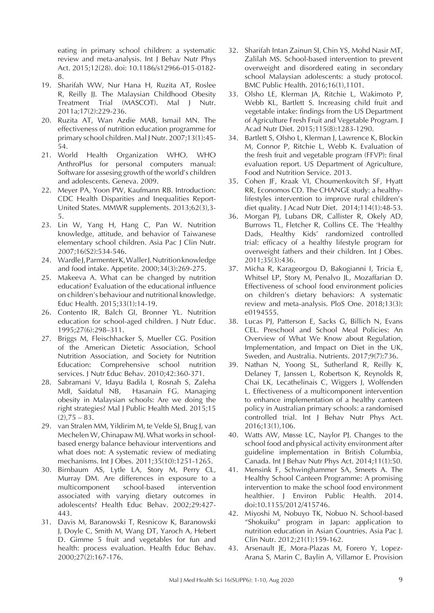eating in primary school children: a systematic review and meta-analysis. Int J Behav Nutr Phys Act. 2015;12(28). doi: 10.1186/s12966-015-0182- 8.

- 19. Sharifah WW, Nur Hana H, Ruzita AT, Roslee R, Reilly JJ. The Malaysian Childhood Obesity Treatment Trial (MASCOT). Mal J Nutr. 2011a;17(2):229-236.
- 20. Ruzita AT, Wan Azdie MAB, Ismail MN. The effectiveness of nutrition education programme for primary school children. Mal J Nutr. 2007;13(1):45- 54.
- 21. World Health Organization WHO. WHO AnthroPlus for personal computers manual: Software for assesing growth of the world's children and adolescents. Geneva. 2009.
- 22. Meyer PA, Yoon PW, Kaufmann RB. Introduction: CDC Health Disparities and Inequalities Report-United States. MMWR supplements. 2013;62(3),3- 5.
- 23. Lin W, Yang H, Hang C, Pan W. Nutrition knowledge, attitude, and behavior of Taiwanese elementary school children. Asia Pac J Clin Nutr. 2007;16(S2):534-546.
- 24. Wardle J, Parmenter K, Waller J. Nutrition knowledge and food intake. Appetite. 2000;34(3):269-275.
- 25. Makeeva A. What can be changed by nutrition education? Evaluation of the educational influence on children's behaviour and nutritional knowledge. Educ Health. 2015;33(1):14-19.
- 26. Contento IR, Balch GI, Bronner YL. Nutrition education for school-aged children. J Nutr Educ. 1995;27(6):298–311.
- 27. Briggs M, Fleischhacker S, Mueller CG. Position of the American Dietetic Association, School Nutrition Association, and Society for Nutrition Education: Comprehensive school nutrition services. J Nutr Educ Behav. 2010;42:360-371.
- 28. Sabramani V, Idayu Badila I, Rosnah S, Zaleha MdI, Saidatul NB, Hasanain FG. Managing obesity in Malaysian schools: Are we doing the right strategies? Mal J Public Health Med. 2015;15  $(2)$ ,  $75 - 83$ .
- 29. van Stralen MM, Yildirim M, te Velde SJ, Brug J, van Mechelen W, Chinapaw MJ. What works in schoolbased energy balance behaviour interventions and what does not: A systematic review of mediating mechanisms. Int J Obes. 2011;35(10):1251-1265.
- 30. Birnbaum AS, Lytle LA, Story M, Perry CL, Murray DM. Are differences in exposure to a multicomponent school-based intervention associated with varying dietary outcomes in adolescents? Health Educ Behav. 2002;29:427- 443.
- 31. Davis M, Baranowski T, Resnicow K, Baranowski J, Doyle C, Smith M, Wang DT, Yaroch A, Hebert D. Gimme 5 fruit and vegetables for fun and health: process evaluation. Health Educ Behav. 2000;27(2):167-176.
- 32. Sharifah Intan Zainun SI, Chin YS, Mohd Nasir MT, Zalilah MS. School-based intervention to prevent overweight and disordered eating in secondary school Malaysian adolescents: a study protocol. BMC Public Health. 2016;16(1),1101.
- 33. Olsho LE, Klerman JA, Ritchie L, Wakimoto P, Webb KL, Bartlett S. Increasing child fruit and vegetable intake: findings from the US Department of Agriculture Fresh Fruit and Vegetable Program. J Acad Nutr Diet. 2015;115(8):1283-1290.
- 34. Bartlett S, Olsho L, Klerman J, Lawrence K, Blockin M, Connor P, Ritchie L, Webb K. Evaluation of the fresh fruit and vegetable program (FFVP): final evaluation report. US Department of Agriculture, Food and Nutrition Service. 2013.
- 35. Cohen JF, Kraak VI, Choumenkovitch SF, Hyatt RR, Economos CD. The CHANGE study: a healthylifestyles intervention to improve rural children's diet quality. J Acad Nutr Diet. 2014;114(1):48-53.
- 36. Morgan PJ, Lubans DR, Callister R, Okely AD, Burrows TL, Fletcher R, Collins CE. The 'Healthy Dads, Healthy Kids' randomized controlled trial: efficacy of a healthy lifestyle program for overweight fathers and their children. Int J Obes. 2011;35(3):436.
- 37. Micha R, Karageorgou D, Bakogianni I, Tricia E, Whitsel LP, Story M, Penalvo JL, Mozaffarian D. Effectiveness of school food environment policies on children's dietary behaviors: A systematic review and meta-analysis. PloS One. 2018;13(3): e0194555.
- 38. Lucas PJ, Patterson E, Sacks G, Billich N, Evans CEL. Preschool and School Meal Policies: An Overview of What We Know about Regulation, Implementation, and Impact on Diet in the UK, Sweden, and Australia. Nutrients. 2017;9(7):736.
- 39. Nathan N, Yoong SL, Sutherland R, Reilly K, Delaney T, Janssen L, Robertson K, Reynolds R, Chai LK, Lecathelinais C, Wiggers J, Wolfenden L. Effectiveness of a multicomponent intervention to enhance implementation of a healthy canteen policy in Australian primary schools: a randomised controlled trial. Int J Behav Nutr Phys Act. 2016;13(1),106.
- 40. Watts AW, Masse LC, Naylor PJ. Changes to the school food and physical activity environment after guideline implementation in British Columbia, Canada. Int J Behav Nutr Phys Act. 2014;11(1):50.
- 41. Mensink F, Schwinghammer SA, Smeets A. The Healthy School Canteen Programme: A promising intervention to make the school food environment healthier. J Environ Public Health. 2014. doi:10.1155/2012/415746.
- 42. Miyoshi M, Nobuyo TK, Nobuo N. School-based "Shokuiku" program in Japan: application to nutrition education in Asian Countries. Asia Pac J. Clin Nutr. 2012;21(1):159-162.
- 43. Arsenault JE, Mora-Plazas M, Forero Y, Lopez-Arana S, Marin C, Baylin A, Villamor E. Provision